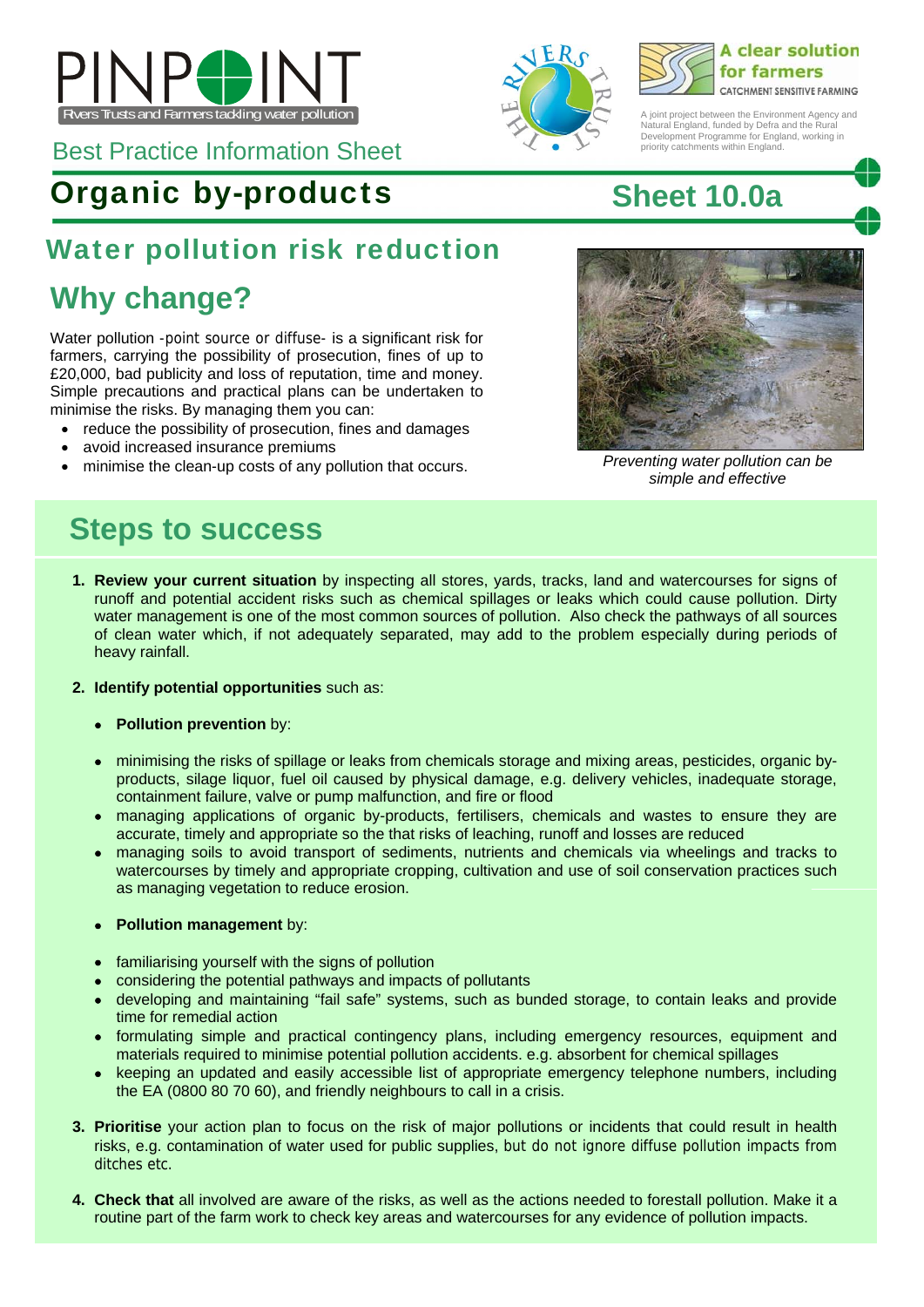

Best Practice Information Sheet

# Organic by-products **Sheet 10.0a**

### Water pollution risk reduction

# **Why change?**

Water pollution -point source or diffuse- is a significant risk for farmers, carrying the possibility of prosecution, fines of up to £20,000, bad publicity and loss of reputation, time and money. Simple precautions and practical plans can be undertaken to minimise the risks. By managing them you can:

- reduce the possibility of prosecution, fines and damages
- avoid increased insurance premiums
- minimise the clean-up costs of any pollution that occurs. *Preventing water pollution can be*





A joint project between the Environment Agency and Natural England, funded by Defra and the Rural Development Programme for England, working in priority catchments within England.



*simple and effective* 

### **Steps to success**

**1. Review your current situation** by inspecting all stores, yards, tracks, land and watercourses for signs of runoff and potential accident risks such as chemical spillages or leaks which could cause pollution. Dirty water management is one of the most common sources of pollution. Also check the pathways of all sources of clean water which, if not adequately separated, may add to the problem especially during periods of heavy rainfall.

#### **2. Identify potential opportunities** such as:

- **Pollution prevention** by:
- minimising the risks of spillage or leaks from chemicals storage and mixing areas, pesticides, organic byproducts, silage liquor, fuel oil caused by physical damage, e.g. delivery vehicles, inadequate storage, containment failure, valve or pump malfunction, and fire or flood
- managing applications of organic by-products, fertilisers, chemicals and wastes to ensure they are accurate, timely and appropriate so the that risks of leaching, runoff and losses are reduced
- managing soils to avoid transport of sediments, nutrients and chemicals via wheelings and tracks to watercourses by timely and appropriate cropping, cultivation and use of soil conservation practices such as managing vegetation to reduce erosion.

#### **Pollution management** by:

- familiarising yourself with the signs of pollution
- considering the potential pathways and impacts of pollutants
- developing and maintaining "fail safe" systems, such as bunded storage, to contain leaks and provide time for remedial action
- formulating simple and practical contingency plans, including emergency resources, equipment and materials required to minimise potential pollution accidents. e.g. absorbent for chemical spillages
- keeping an updated and easily accessible list of appropriate emergency telephone numbers, including the EA (0800 80 70 60), and friendly neighbours to call in a crisis.
- **3. Prioritise** your action plan to focus on the risk of major pollutions or incidents that could result in health risks, e.g. contamination of water used for public supplies, but do not ignore diffuse pollution impacts from ditches etc.
- **4. Check that** all involved are aware of the risks, as well as the actions needed to forestall pollution. Make it a routine part of the farm work to check key areas and watercourses for any evidence of pollution impacts.